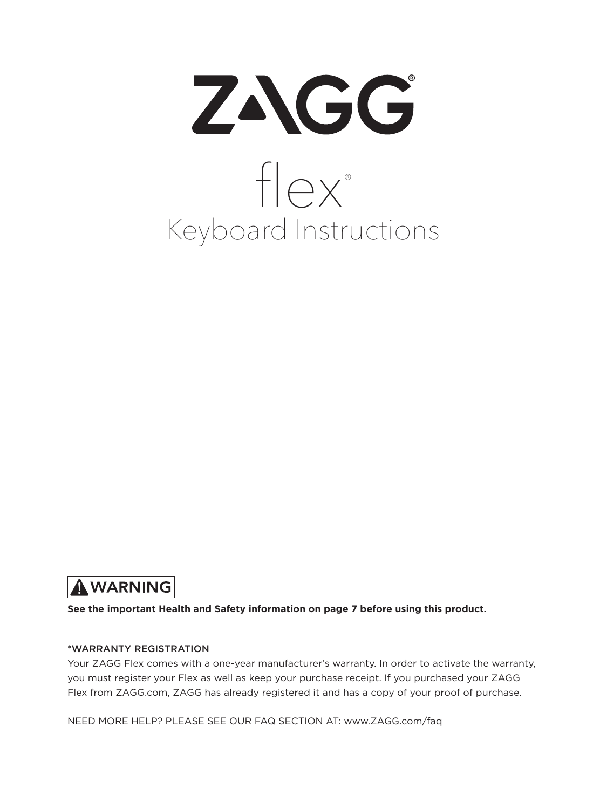



**See the important Health and Safety information on page 7 before using this product.**

#### \*WARRANTY REGISTRATION

Your ZAGG Flex comes with a one-year manufacturer's warranty. In order to activate the warranty, you must register your Flex as well as keep your purchase receipt. If you purchased your ZAGG Flex from ZAGG.com, ZAGG has already registered it and has a copy of your proof of purchase.

NEED MORE HELP? PLEASE SEE OUR FAQ SECTION AT: www.ZAGG.com/faq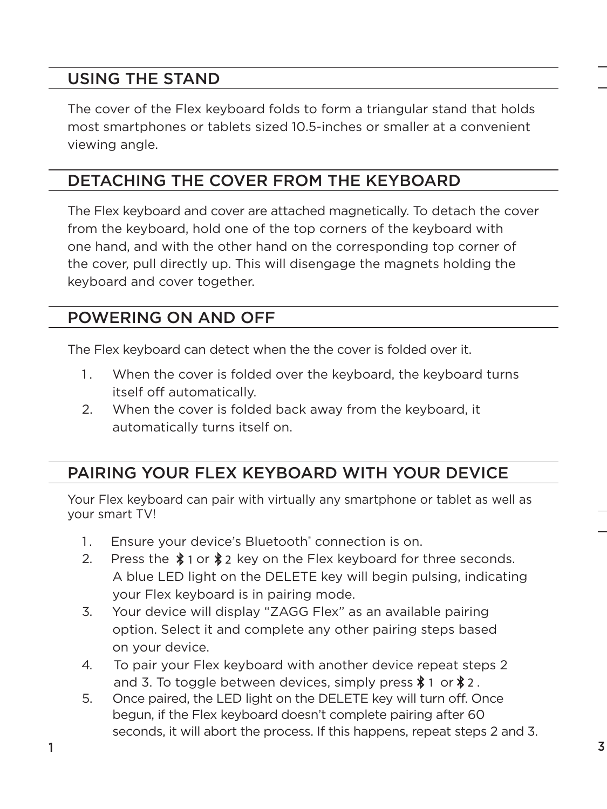## USING THE STAND

The cover of the Flex keyboard folds to form a triangular stand that holds most smartphones or tablets sized 10.5-inches or smaller at a convenient viewing angle.

# DETACHING THE COVER FROM THE KEYBOARD

The Flex keyboard and cover are attached magnetically. To detach the cover from the keyboard, hold one of the top corners of the keyboard with one hand, and with the other hand on the corresponding top corner of the cover, pull directly up. This will disengage the magnets holding the keyboard and cover together.

## POWERING ON AND OFF

The Flex keyboard can detect when the the cover is folded over it.

- 1. When the cover is folded over the keyboard, the keyboard turns itself off automatically.
- 2. When the cover is folded back away from the keyboard, it automatically turns itself on.

## PAIRING YOUR FLEX KEYBOARD WITH YOUR DEVICE

Your Flex keyboard can pair with virtually any smartphone or tablet as well as your smart TV!

- 1. Ensure your device's Bluetooth<sup>®</sup> connection is on.
- 2. Press the  $*$  1 or  $*$  key on the Flex keyboard for three seconds. A blue LED light on the DELETE key will begin pulsing, indicating your Flex keyboard is in pairing mode.
- 3. Your device will display "ZAGG Flex" as an available pairing option. Select it and complete any other pairing steps based on your device.
- 4. To pair your Flex keyboard with another device repeat steps 2 and 3. To toggle between devices, simply press  $\$$  1 or  $\$$  2 .
- 5. Once paired, the LED light on the DELETE key will turn off. Once begun, if the Flex keyboard doesn't complete pairing after 60 seconds, it will abort the process. If this happens, repeat steps 2 and 3.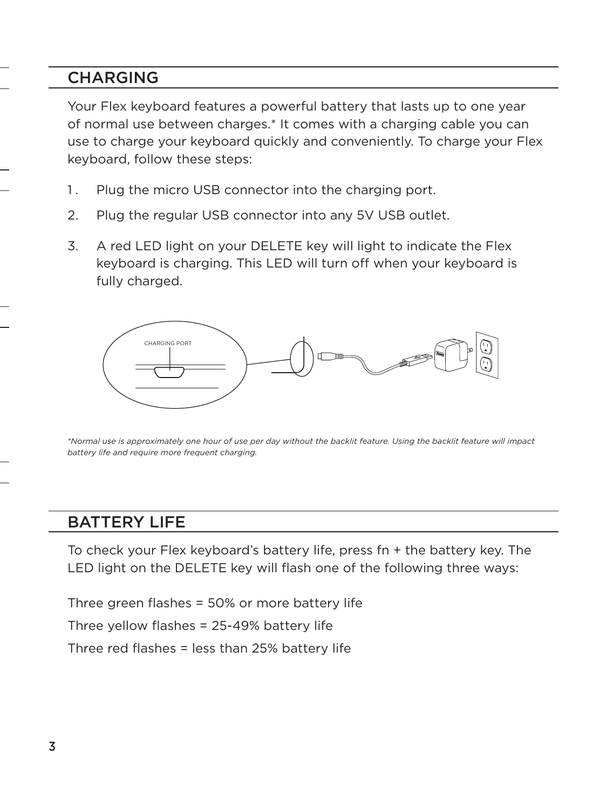## **CHARGING**

Your Flex keyboard features a powerful battery that lasts up to one year of normal use between charges.\* It comes with a charging cable you can use to charge your keyboard quickly and conveniently. To charge your Flex keyboard, follow these steps:

- 1. Plug the micro USB connector into the charging port.
- 2. Plug the regular USB connector into any 5V USB outlet.
- 3. A red LED light on your DELETE key will light to indicate the Flex keyboard is charging. This LED will turn off when your keyboard is fully charged.



*\*Normal use is approximately one hour of use per day without the backlit feature. Using the backlit feature will impact battery life and require more frequent charging.* 

### BATTERY LIFE

To check your Flex keyboard's battery life, press fn + the battery key. The LED light on the DELETE key will flash one of the following three ways:

Three green flashes = 50% or more battery life

Three yellow flashes = 25-49% battery life

Three red flashes = less than 25% battery life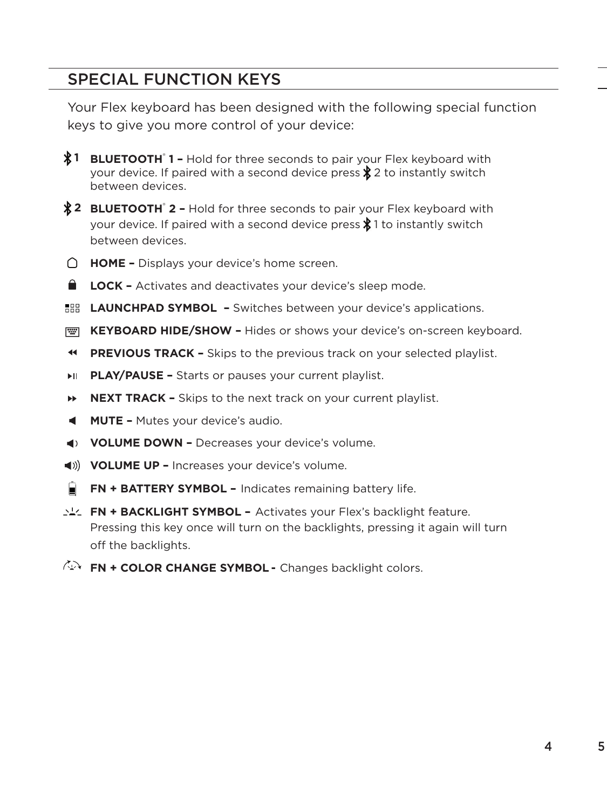## SPECIAL FUNCTION KEYS

Your Flex keyboard has been designed with the following special function keys to give you more control of your device:

- 1 **BLUETOOTH**<sup>®</sup> 1 Hold for three seconds to pair your Flex keyboard with your device. If paired with a second device press  $\frac{1}{2}$  2 to instantly switch between devices.
- 2 **BLUETOOTH** 2 Hold for three seconds to pair your Flex keyboard with your device. If paired with a second device press  $\frac{1}{2}$  to instantly switch between devices.
- **HOME –** Displays your device's home screen.
- **LOCK -** Activates and deactivates your device's sleep mode.
- **LAUNCHPAD SYMBOL –** Switches between your device's applications.
- **EXEYBOARD HIDE/SHOW -** Hides or shows your device's on-screen keyboard.
- $\blacktriangleleft$ **PREVIOUS TRACK –** Skips to the previous track on your selected playlist.
- **PLAY/PAUSE –** Starts or pauses your current playlist.
- ÞÞ. **NEXT TRACK –** Skips to the next track on your current playlist.
- **MUTE –** Mutes your device's audio.
- **VOLUME DOWN –** Decreases your device's volume.
- **VOLUME UP –** Increases your device's volume.
- H **FN + BATTERY SYMBOL –** Indicates remaining battery life.
- **FN + BACKLIGHT SYMBOL –** Activates your Flex's backlight feature. Pressing this key once will turn on the backlights, pressing it again will turn off the backlights.
- **FN + COLOR CHANGE SYMBOL -**Changes backlight colors.

5

4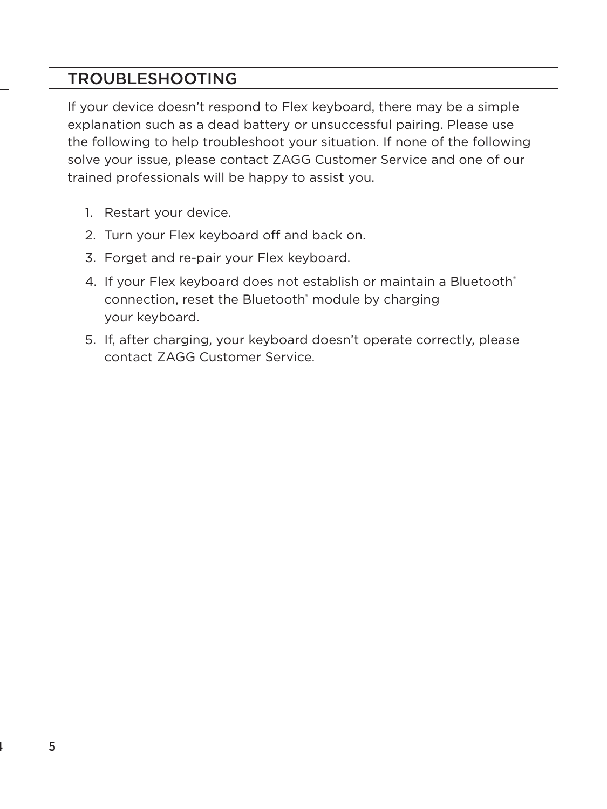## TROUBLESHOOTING

If your device doesn't respond to Flex keyboard, there may be a simple explanation such as a dead battery or unsuccessful pairing. Please use the following to help troubleshoot your situation. If none of the following solve your issue, please contact ZAGG Customer Service and one of our trained professionals will be happy to assist you.

- 1. Restart your device.
- 2. Turn your Flex keyboard off and back on.
- 3. Forget and re-pair your Flex keyboard.
- 4. If your Flex keyboard does not establish or maintain a Bluetooth® connection, reset the Bluetooth<sup>®</sup> module by charging your keyboard.
- 5. If, after charging, your keyboard doesn't operate correctly, please contact ZAGG Customer Service.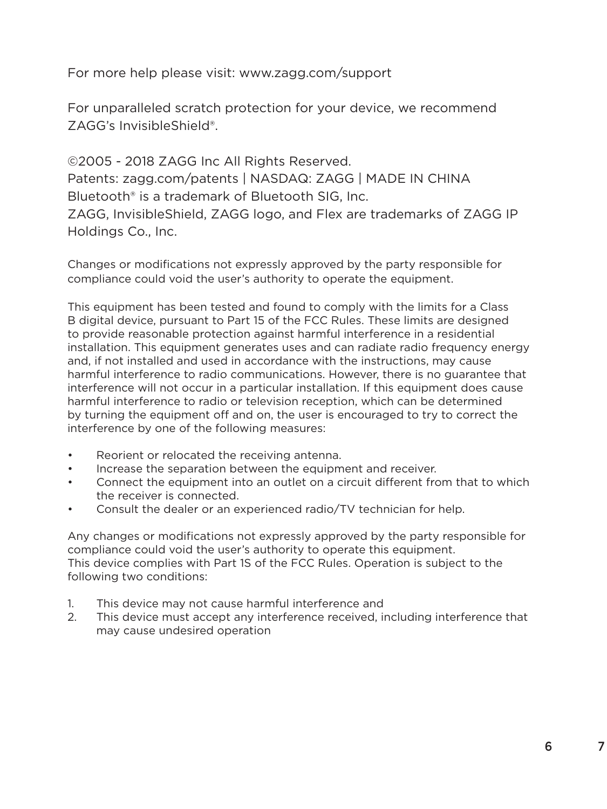For more help please visit: www.zagg.com/support

For unparalleled scratch protection for your device, we recommend ZAGG's InvisibleShield®.

©2005 - 2018 ZAGG Inc All Rights Reserved. Patents: zagg.com/patents | NASDAQ: ZAGG | MADE IN CHINA Bluetooth® is a trademark of Bluetooth SIG, Inc. ZAGG, InvisibleShield, ZAGG logo, and Flex are trademarks of ZAGG IP Holdings Co., Inc.

Changes or modifications not expressly approved by the party responsible for compliance could void the user's authority to operate the equipment.

This equipment has been tested and found to comply with the limits for a Class B digital device, pursuant to Part 15 of the FCC Rules. These limits are designed to provide reasonable protection against harmful interference in a residential installation. This equipment generates uses and can radiate radio frequency energy and, if not installed and used in accordance with the instructions, may cause harmful interference to radio communications. However, there is no guarantee that interference will not occur in a particular installation. If this equipment does cause harmful interference to radio or television reception, which can be determined by turning the equipment off and on, the user is encouraged to try to correct the interference by one of the following measures:

- Reorient or relocated the receiving antenna.
- Increase the separation between the equipment and receiver.
- Connect the equipment into an outlet on a circuit different from that to which the receiver is connected.
- Consult the dealer or an experienced radio/TV technician for help.

Any changes or modifications not expressly approved by the party responsible for compliance could void the user's authority to operate this equipment. This device complies with Part 1S of the FCC Rules. Operation is subject to the following two conditions:

- 1. This device may not cause harmful interference and
- 2. This device must accept any interference received, including interference that may cause undesired operation

7

6